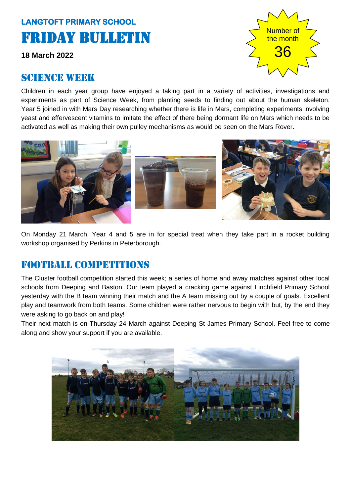# **LANGTOFT PRIMARY SCHOOL**  Friday Bulletin

**18 March 2022**

#### SCIENCE WEEK



Children in each year group have enjoyed a taking part in a variety of activities, investigations and experiments as part of Science Week, from planting seeds to finding out about the human skeleton. Year 5 joined in with Mars Day researching whether there is life in Mars, completing experiments involving yeast and effervescent vitamins to imitate the effect of there being dormant life on Mars which needs to be activated as well as making their own pulley mechanisms as would be seen on the Mars Rover.







On Monday 21 March, Year 4 and 5 are in for special treat when they take part in a rocket building workshop organised by Perkins in Peterborough.

### FOOTBALL COMPETITIONS

The Cluster football competition started this week; a series of home and away matches against other local schools from Deeping and Baston. Our team played a cracking game against Linchfield Primary School yesterday with the B team winning their match and the A team missing out by a couple of goals. Excellent play and teamwork from both teams. Some children were rather nervous to begin with but, by the end they were asking to go back on and play!

Their next match is on Thursday 24 March against Deeping St James Primary School. Feel free to come along and show your support if you are available.

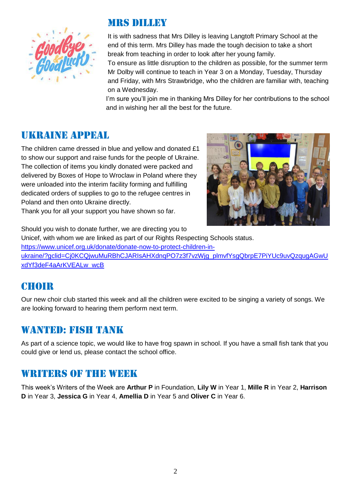

### Mrs dilley

It is with sadness that Mrs Dilley is leaving Langtoft Primary School at the end of this term. Mrs Dilley has made the tough decision to take a short break from teaching in order to look after her young family.

To ensure as little disruption to the children as possible, for the summer term Mr Dolby will continue to teach in Year 3 on a Monday, Tuesday, Thursday and Friday, with Mrs Strawbridge, who the children are familiar with, teaching on a Wednesday.

I'm sure you'll join me in thanking Mrs Dilley for her contributions to the school and in wishing her all the best for the future.

### Ukraine appeal

The children came dressed in blue and yellow and donated £1 to show our support and raise funds for the people of Ukraine. The collection of items you kindly donated were packed and delivered by Boxes of Hope to Wroclaw in Poland where they were unloaded into the interim facility forming and fulfilling dedicated orders of supplies to go to the refugee centres in Poland and then onto Ukraine directly.

Thank you for all your support you have shown so far.



Should you wish to donate further, we are directing you to Unicef, with whom we are linked as part of our Rights Respecting Schools status. [https://www.unicef.org.uk/donate/donate-now-to-protect-children-in](https://www.unicef.org.uk/donate/donate-now-to-protect-children-in-ukraine/?gclid=Cj0KCQjwuMuRBhCJARIsAHXdnqPO7z3f7vzWjg_plmvfYsgQbrpE7PiYUc9uvQzqugAGwUxdYf3deF4aArKVEALw_wcB)[ukraine/?gclid=Cj0KCQjwuMuRBhCJARIsAHXdnqPO7z3f7vzWjg\\_plmvfYsgQbrpE7PiYUc9uvQzqugAGwU](https://www.unicef.org.uk/donate/donate-now-to-protect-children-in-ukraine/?gclid=Cj0KCQjwuMuRBhCJARIsAHXdnqPO7z3f7vzWjg_plmvfYsgQbrpE7PiYUc9uvQzqugAGwUxdYf3deF4aArKVEALw_wcB) [xdYf3deF4aArKVEALw\\_wcB](https://www.unicef.org.uk/donate/donate-now-to-protect-children-in-ukraine/?gclid=Cj0KCQjwuMuRBhCJARIsAHXdnqPO7z3f7vzWjg_plmvfYsgQbrpE7PiYUc9uvQzqugAGwUxdYf3deF4aArKVEALw_wcB)

# **CHOIR**

Our new choir club started this week and all the children were excited to be singing a variety of songs. We are looking forward to hearing them perform next term.

### WANTED: FISH TANK

As part of a science topic, we would like to have frog spawn in school. If you have a small fish tank that you could give or lend us, please contact the school office.

### WRITERS OF THE WEEK

This week's Writers of the Week are **Arthur P** in Foundation, **Lily W** in Year 1, **Mille R** in Year 2, **Harrison D** in Year 3, **Jessica G** in Year 4, **Amellia D** in Year 5 and **Oliver C** in Year 6.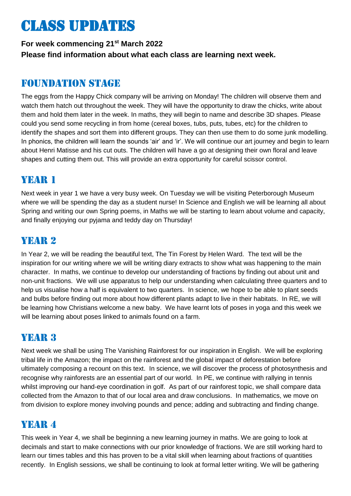# Class updates

**For week commencing 21st March 2022 Please find information about what each class are learning next week.** 

### Foundation stage

The eggs from the Happy Chick company will be arriving on Monday! The children will observe them and watch them hatch out throughout the week. They will have the opportunity to draw the chicks, write about them and hold them later in the week. In maths, they will begin to name and describe 3D shapes. Please could you send some recycling in from home (cereal boxes, tubs, puts, tubes, etc) for the children to identify the shapes and sort them into different groups. They can then use them to do some junk modelling. In phonics, the children will learn the sounds 'air' and 'ir'. We will continue our art journey and begin to learn about Henri Matisse and his cut outs. The children will have a go at designing their own floral and leave shapes and cutting them out. This will provide an extra opportunity for careful scissor control.

# YEAR 1

Next week in year 1 we have a very busy week. On Tuesday we will be visiting Peterborough Museum where we will be spending the day as a student nurse! In Science and English we will be learning all about Spring and writing our own Spring poems, in Maths we will be starting to learn about volume and capacity, and finally enjoying our pyjama and teddy day on Thursday!

# YEAR 2

In Year 2, we will be reading the beautiful text, The Tin Forest by Helen Ward. The text will be the inspiration for our writing where we will be writing diary extracts to show what was happening to the main character. In maths, we continue to develop our understanding of fractions by finding out about unit and non-unit fractions. We will use apparatus to help our understanding when calculating three quarters and to help us visualise how a half is equivalent to two quarters. In science, we hope to be able to plant seeds and bulbs before finding out more about how different plants adapt to live in their habitats. In RE, we will be learning how Christians welcome a new baby. We have learnt lots of poses in yoga and this week we will be learning about poses linked to animals found on a farm.

# YEAR 3

Next week we shall be using The Vanishing Rainforest for our inspiration in English. We will be exploring tribal life in the Amazon; the impact on the rainforest and the global impact of deforestation before ultimately composing a recount on this text. In science, we will discover the process of photosynthesis and recognise why rainforests are an essential part of our world. In PE, we continue with rallying in tennis whilst improving our hand-eye coordination in golf. As part of our rainforest topic, we shall compare data collected from the Amazon to that of our local area and draw conclusions. In mathematics, we move on from division to explore money involving pounds and pence; adding and subtracting and finding change.

# YEAR 4

This week in Year 4, we shall be beginning a new learning journey in maths. We are going to look at decimals and start to make connections with our prior knowledge of fractions. We are still working hard to learn our times tables and this has proven to be a vital skill when learning about fractions of quantities recently. In English sessions, we shall be continuing to look at formal letter writing. We will be gathering